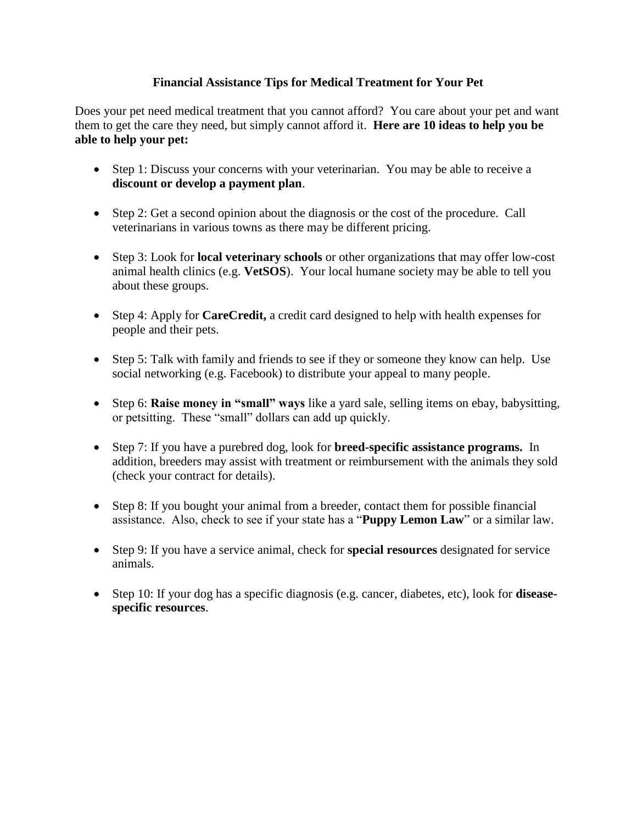## **Financial Assistance Tips for Medical Treatment for Your Pet**

Does your pet need medical treatment that you cannot afford? You care about your pet and want them to get the care they need, but simply cannot afford it. **Here are 10 ideas to help you be able to help your pet:**

- Step 1: Discuss your concerns with your veterinarian. You may be able to receive a **discount or develop a payment plan**.
- Step 2: Get a second opinion about the diagnosis or the cost of the procedure. Call veterinarians in various towns as there may be different pricing.
- Step 3: Look for **local veterinary schools** or other organizations that may offer low-cost animal health clinics (e.g. **VetSOS**). Your local humane society may be able to tell you about these groups.
- Step 4: Apply for **CareCredit,** a credit card designed to help with health expenses for people and their pets.
- Step 5: Talk with family and friends to see if they or someone they know can help. Use social networking (e.g. Facebook) to distribute your appeal to many people.
- Step 6: **Raise money in "small" ways** like a yard sale, selling items on ebay, babysitting, or petsitting. These "small" dollars can add up quickly.
- Step 7: If you have a purebred dog, look for **breed-specific assistance programs.** In addition, breeders may assist with treatment or reimbursement with the animals they sold (check your contract for details).
- Step 8: If you bought your animal from a breeder, contact them for possible financial assistance. Also, check to see if your state has a "**Puppy Lemon Law**" or a similar law.
- Step 9: If you have a service animal, check for **special resources** designated for service animals.
- Step 10: If your dog has a specific diagnosis (e.g. cancer, diabetes, etc), look for **diseasespecific resources**.